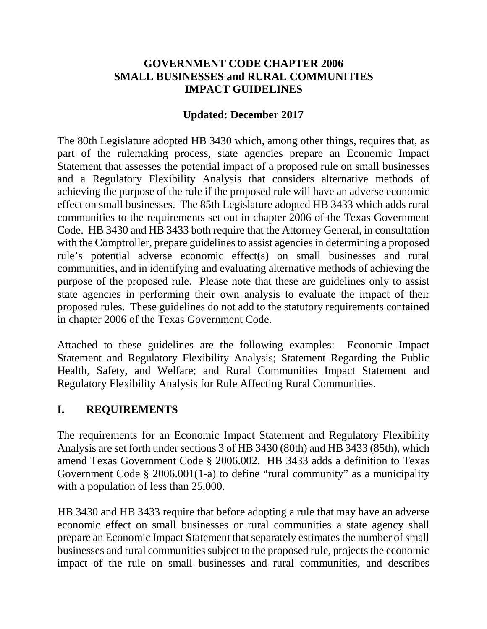#### **GOVERNMENT CODE CHAPTER 2006 SMALL BUSINESSES and RURAL COMMUNITIES IMPACT GUIDELINES**

### **Updated: December 2017**

The 80th Legislature adopted HB 3430 which, among other things, requires that, as part of the rulemaking process, state agencies prepare an Economic Impact Statement that assesses the potential impact of a proposed rule on small businesses and a Regulatory Flexibility Analysis that considers alternative methods of achieving the purpose of the rule if the proposed rule will have an adverse economic effect on small businesses. The 85th Legislature adopted HB 3433 which adds rural communities to the requirements set out in chapter 2006 of the Texas Government Code. HB 3430 and HB 3433 both require that the Attorney General, in consultation with the Comptroller, prepare guidelines to assist agencies in determining a proposed rule's potential adverse economic effect(s) on small businesses and rural communities, and in identifying and evaluating alternative methods of achieving the purpose of the proposed rule. Please note that these are guidelines only to assist state agencies in performing their own analysis to evaluate the impact of their proposed rules. These guidelines do not add to the statutory requirements contained in chapter 2006 of the Texas Government Code.

Attached to these guidelines are the following examples: Economic Impact Statement and Regulatory Flexibility Analysis; Statement Regarding the Public Health, Safety, and Welfare; and Rural Communities Impact Statement and Regulatory Flexibility Analysis for Rule Affecting Rural Communities.

## **I. REQUIREMENTS**

The requirements for an Economic Impact Statement and Regulatory Flexibility Analysis are set forth under sections 3 of HB 3430 (80th) and HB 3433 (85th), which amend Texas Government Code § 2006.002. HB 3433 adds a definition to Texas Government Code § 2006.001(1-a) to define "rural community" as a municipality with a population of less than 25,000.

HB 3430 and HB 3433 require that before adopting a rule that may have an adverse economic effect on small businesses or rural communities a state agency shall prepare an Economic Impact Statement that separately estimates the number of small businesses and rural communities subject to the proposed rule, projects the economic impact of the rule on small businesses and rural communities, and describes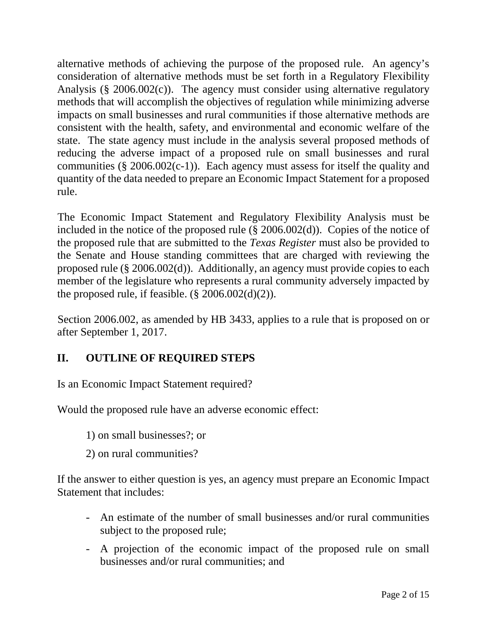alternative methods of achieving the purpose of the proposed rule. An agency's consideration of alternative methods must be set forth in a Regulatory Flexibility Analysis (§ 2006.002(c)). The agency must consider using alternative regulatory methods that will accomplish the objectives of regulation while minimizing adverse impacts on small businesses and rural communities if those alternative methods are consistent with the health, safety, and environmental and economic welfare of the state. The state agency must include in the analysis several proposed methods of reducing the adverse impact of a proposed rule on small businesses and rural communities ( $\S 2006.002(c-1)$ ). Each agency must assess for itself the quality and quantity of the data needed to prepare an Economic Impact Statement for a proposed rule.

The Economic Impact Statement and Regulatory Flexibility Analysis must be included in the notice of the proposed rule (§ 2006.002(d)). Copies of the notice of the proposed rule that are submitted to the *Texas Register* must also be provided to the Senate and House standing committees that are charged with reviewing the proposed rule (§ 2006.002(d)). Additionally, an agency must provide copies to each member of the legislature who represents a rural community adversely impacted by the proposed rule, if feasible.  $(\S$  2006.002(d)(2)).

Section 2006.002, as amended by HB 3433, applies to a rule that is proposed on or after September 1, 2017.

## **II. OUTLINE OF REQUIRED STEPS**

Is an Economic Impact Statement required?

Would the proposed rule have an adverse economic effect:

1) on small businesses?; or

2) on rural communities?

If the answer to either question is yes, an agency must prepare an Economic Impact Statement that includes:

- An estimate of the number of small businesses and/or rural communities subject to the proposed rule;
- A projection of the economic impact of the proposed rule on small businesses and/or rural communities; and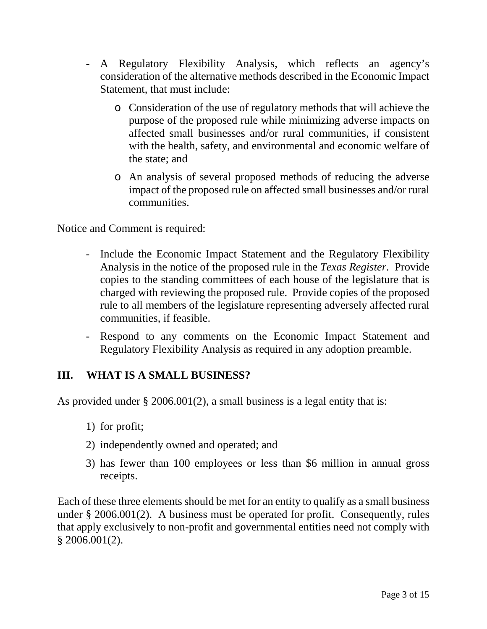- A Regulatory Flexibility Analysis, which reflects an agency's consideration of the alternative methods described in the Economic Impact Statement, that must include:
	- o Consideration of the use of regulatory methods that will achieve the purpose of the proposed rule while minimizing adverse impacts on affected small businesses and/or rural communities, if consistent with the health, safety, and environmental and economic welfare of the state; and
	- o An analysis of several proposed methods of reducing the adverse impact of the proposed rule on affected small businesses and/or rural communities.

Notice and Comment is required:

- Include the Economic Impact Statement and the Regulatory Flexibility Analysis in the notice of the proposed rule in the *Texas Register*.Provide copies to the standing committees of each house of the legislature that is charged with reviewing the proposed rule. Provide copies of the proposed rule to all members of the legislature representing adversely affected rural communities, if feasible.
- Respond to any comments on the Economic Impact Statement and Regulatory Flexibility Analysis as required in any adoption preamble.

### **III. WHAT IS A SMALL BUSINESS?**

As provided under § 2006.001(2), a small business is a legal entity that is:

- 1) for profit;
- 2) independently owned and operated; and
- 3) has fewer than 100 employees or less than \$6 million in annual gross receipts.

Each of these three elements should be met for an entity to qualify as a small business under § 2006.001(2). A business must be operated for profit. Consequently, rules that apply exclusively to non-profit and governmental entities need not comply with  $$2006.001(2).$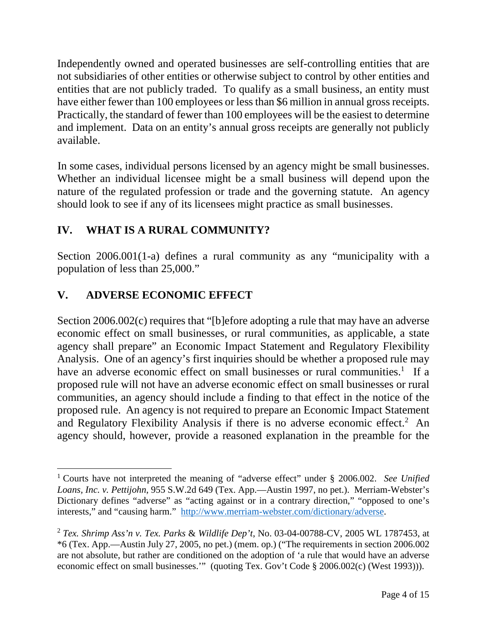Independently owned and operated businesses are self-controlling entities that are not subsidiaries of other entities or otherwise subject to control by other entities and entities that are not publicly traded. To qualify as a small business, an entity must have either fewer than 100 employees or less than \$6 million in annual gross receipts. Practically, the standard of fewer than 100 employees will be the easiest to determine and implement. Data on an entity's annual gross receipts are generally not publicly available.

In some cases, individual persons licensed by an agency might be small businesses. Whether an individual licensee might be a small business will depend upon the nature of the regulated profession or trade and the governing statute. An agency should look to see if any of its licensees might practice as small businesses.

# **IV. WHAT IS A RURAL COMMUNITY?**

Section 2006.001(1-a) defines a rural community as any "municipality with a population of less than 25,000."

# **V. ADVERSE ECONOMIC EFFECT**

<u>.</u>

Section 2006.002(c) requires that "[b]efore adopting a rule that may have an adverse economic effect on small businesses, or rural communities, as applicable, a state agency shall prepare" an Economic Impact Statement and Regulatory Flexibility Analysis. One of an agency's first inquiries should be whether a proposed rule may have an adverse economic effect on small businesses or rural communities.<sup>1</sup> If a proposed rule will not have an adverse economic effect on small businesses or rural communities, an agency should include a finding to that effect in the notice of the proposed rule. An agency is not required to prepare an Economic Impact Statement and Regulatory Flexibility Analysis if there is no adverse economic effect.<sup>2</sup> An agency should, however, provide a reasoned explanation in the preamble for the

<sup>1</sup> Courts have not interpreted the meaning of "adverse effect" under § 2006.002. *See Unified Loans, Inc. v. Pettijohn*, 955 S.W.2d 649 (Tex. App.—Austin 1997, no pet.). Merriam-Webster's Dictionary defines "adverse" as "acting against or in a contrary direction," "opposed to one's interests," and "causing harm." http://www.merriam-webster.com/dictionary/adverse.

<sup>2</sup> *Tex. Shrimp Ass'n v. Tex. Parks* & *Wildlife Dep't*, No. 03-04-00788-CV, 2005 WL 1787453, at \*6 (Tex. App.—Austin July 27, 2005, no pet.) (mem. op.) ("The requirements in section 2006.002 are not absolute, but rather are conditioned on the adoption of 'a rule that would have an adverse economic effect on small businesses.'" (quoting Tex. Gov't Code § 2006.002(c) (West 1993))).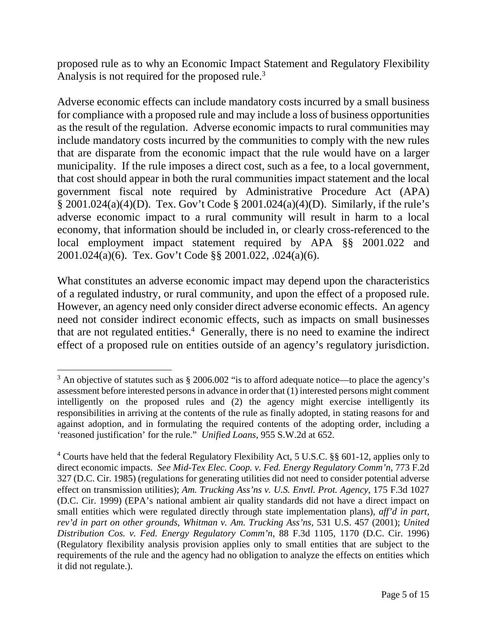proposed rule as to why an Economic Impact Statement and Regulatory Flexibility Analysis is not required for the proposed rule.<sup>3</sup>

Adverse economic effects can include mandatory costs incurred by a small business for compliance with a proposed rule and may include a loss of business opportunities as the result of the regulation. Adverse economic impacts to rural communities may include mandatory costs incurred by the communities to comply with the new rules that are disparate from the economic impact that the rule would have on a larger municipality. If the rule imposes a direct cost, such as a fee, to a local government, that cost should appear in both the rural communities impact statement and the local government fiscal note required by Administrative Procedure Act (APA) § 2001.024(a)(4)(D). Tex. Gov't Code § 2001.024(a)(4)(D). Similarly, if the rule's adverse economic impact to a rural community will result in harm to a local economy, that information should be included in, or clearly cross-referenced to the local employment impact statement required by APA §§ 2001.022 and 2001.024(a)(6). Tex. Gov't Code §§ 2001.022, .024(a)(6).

What constitutes an adverse economic impact may depend upon the characteristics of a regulated industry, or rural community, and upon the effect of a proposed rule. However, an agency need only consider direct adverse economic effects. An agency need not consider indirect economic effects, such as impacts on small businesses that are not regulated entities.<sup>4</sup> Generally, there is no need to examine the indirect effect of a proposed rule on entities outside of an agency's regulatory jurisdiction.

<sup>&</sup>lt;u>.</u>  $3$  An objective of statutes such as  $\S 2006.002$  "is to afford adequate notice—to place the agency's assessment before interested persons in advance in order that (1) interested persons might comment intelligently on the proposed rules and (2) the agency might exercise intelligently its responsibilities in arriving at the contents of the rule as finally adopted, in stating reasons for and against adoption, and in formulating the required contents of the adopting order, including a 'reasoned justification' for the rule." *Unified Loans*, 955 S.W.2d at 652.

<sup>&</sup>lt;sup>4</sup> Courts have held that the federal Regulatory Flexibility Act, 5 U.S.C. §§ 601-12, applies only to direct economic impacts. *See Mid-Tex Elec. Coop. v. Fed. Energy Regulatory Comm'n*, 773 F.2d 327 (D.C. Cir. 1985) (regulations for generating utilities did not need to consider potential adverse effect on transmission utilities); *Am. Trucking Ass'ns v. U.S. Envtl. Prot. Agency*, 175 F.3d 1027 (D.C. Cir. 1999) (EPA's national ambient air quality standards did not have a direct impact on small entities which were regulated directly through state implementation plans), *aff'd in part, rev'd in part on other grounds, Whitman v. Am. Trucking Ass'ns*, 531 U.S. 457 (2001); *United Distribution Cos. v. Fed. Energy Regulatory Comm'n*, 88 F.3d 1105, 1170 (D.C. Cir. 1996) (Regulatory flexibility analysis provision applies only to small entities that are subject to the requirements of the rule and the agency had no obligation to analyze the effects on entities which it did not regulate.).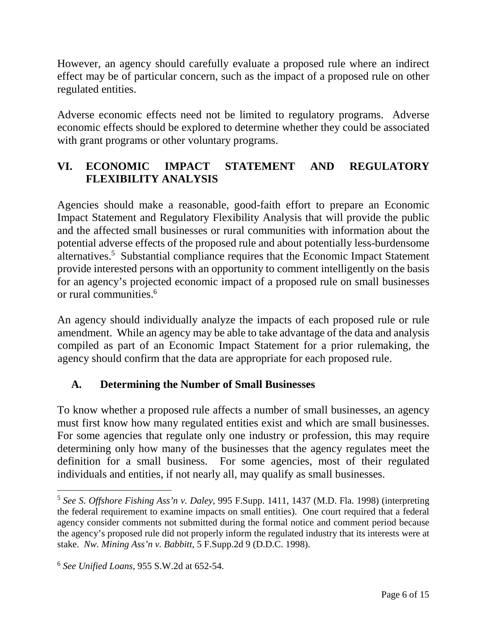However, an agency should carefully evaluate a proposed rule where an indirect effect may be of particular concern, such as the impact of a proposed rule on other regulated entities.

Adverse economic effects need not be limited to regulatory programs. Adverse economic effects should be explored to determine whether they could be associated with grant programs or other voluntary programs.

## **VI. ECONOMIC IMPACT STATEMENT AND REGULATORY FLEXIBILITY ANALYSIS**

Agencies should make a reasonable, good-faith effort to prepare an Economic Impact Statement and Regulatory Flexibility Analysis that will provide the public and the affected small businesses or rural communities with information about the potential adverse effects of the proposed rule and about potentially less-burdensome alternatives.<sup>5</sup> Substantial compliance requires that the Economic Impact Statement provide interested persons with an opportunity to comment intelligently on the basis for an agency's projected economic impact of a proposed rule on small businesses or rural communities.<sup>6</sup>

An agency should individually analyze the impacts of each proposed rule or rule amendment. While an agency may be able to take advantage of the data and analysis compiled as part of an Economic Impact Statement for a prior rulemaking, the agency should confirm that the data are appropriate for each proposed rule.

### **A. Determining the Number of Small Businesses**

To know whether a proposed rule affects a number of small businesses, an agency must first know how many regulated entities exist and which are small businesses. For some agencies that regulate only one industry or profession, this may require determining only how many of the businesses that the agency regulates meet the definition for a small business. For some agencies, most of their regulated individuals and entities, if not nearly all, may qualify as small businesses.

<u>.</u>

<sup>5</sup> *See S. Offshore Fishing Ass'n v. Daley*, 995 F.Supp. 1411, 1437 (M.D. Fla. 1998) (interpreting the federal requirement to examine impacts on small entities). One court required that a federal agency consider comments not submitted during the formal notice and comment period because the agency's proposed rule did not properly inform the regulated industry that its interests were at stake. *Nw. Mining Ass'n v. Babbitt*, 5 F.Supp.2d 9 (D.D.C. 1998).

<sup>6</sup> *See Unified Loans*, 955 S.W.2d at 652-54.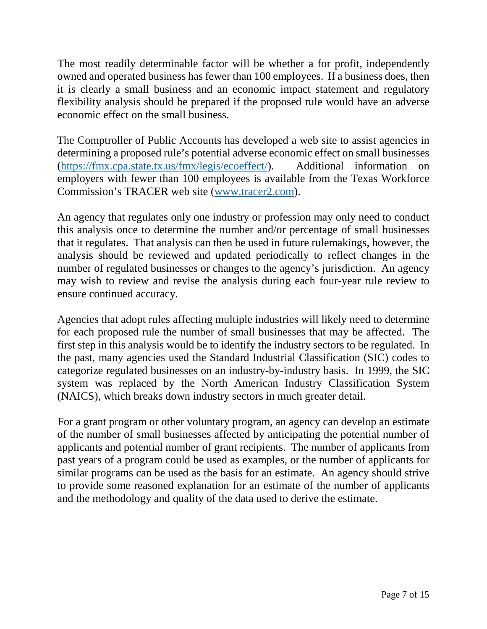The most readily determinable factor will be whether a for profit, independently owned and operated business has fewer than 100 employees. If a business does, then it is clearly a small business and an economic impact statement and regulatory flexibility analysis should be prepared if the proposed rule would have an adverse economic effect on the small business.

The Comptroller of Public Accounts has developed a web site to assist agencies in determining a proposed rule's potential adverse economic effect on small businesses (https://fmx.cpa.state.tx.us/fmx/legis/ecoeffect/). Additional information on employers with fewer than 100 employees is available from the Texas Workforce Commission's TRACER web site (www.tracer2.com).

An agency that regulates only one industry or profession may only need to conduct this analysis once to determine the number and/or percentage of small businesses that it regulates. That analysis can then be used in future rulemakings, however, the analysis should be reviewed and updated periodically to reflect changes in the number of regulated businesses or changes to the agency's jurisdiction. An agency may wish to review and revise the analysis during each four-year rule review to ensure continued accuracy.

Agencies that adopt rules affecting multiple industries will likely need to determine for each proposed rule the number of small businesses that may be affected. The first step in this analysis would be to identify the industry sectors to be regulated. In the past, many agencies used the Standard Industrial Classification (SIC) codes to categorize regulated businesses on an industry-by-industry basis. In 1999, the SIC system was replaced by the North American Industry Classification System (NAICS), which breaks down industry sectors in much greater detail.

For a grant program or other voluntary program, an agency can develop an estimate of the number of small businesses affected by anticipating the potential number of applicants and potential number of grant recipients. The number of applicants from past years of a program could be used as examples, or the number of applicants for similar programs can be used as the basis for an estimate. An agency should strive to provide some reasoned explanation for an estimate of the number of applicants and the methodology and quality of the data used to derive the estimate.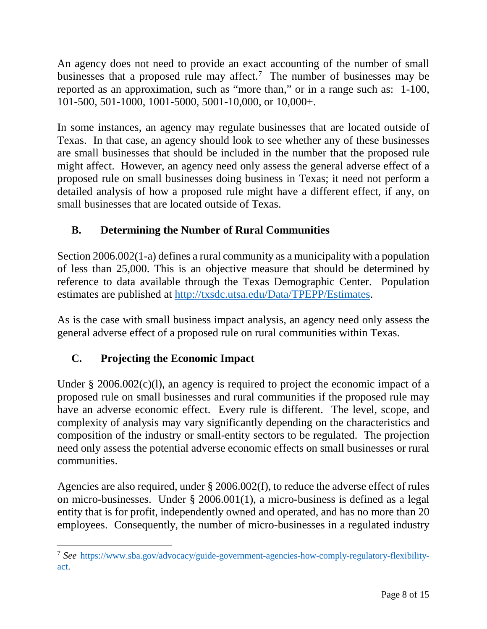An agency does not need to provide an exact accounting of the number of small businesses that a proposed rule may affect.<sup>7</sup> The number of businesses may be reported as an approximation, such as "more than," or in a range such as: 1-100, 101-500, 501-1000, 1001-5000, 5001-10,000, or 10,000+.

In some instances, an agency may regulate businesses that are located outside of Texas. In that case, an agency should look to see whether any of these businesses are small businesses that should be included in the number that the proposed rule might affect. However, an agency need only assess the general adverse effect of a proposed rule on small businesses doing business in Texas; it need not perform a detailed analysis of how a proposed rule might have a different effect, if any, on small businesses that are located outside of Texas.

# **B. Determining the Number of Rural Communities**

Section 2006.002(1-a) defines a rural community as a municipality with a population of less than 25,000. This is an objective measure that should be determined by reference to data available through the Texas Demographic Center. Population estimates are published at http://txsdc.utsa.edu/Data/TPEPP/Estimates.

As is the case with small business impact analysis, an agency need only assess the general adverse effect of a proposed rule on rural communities within Texas.

# **C. Projecting the Economic Impact**

Under  $\S$  2006.002(c)(1), an agency is required to project the economic impact of a proposed rule on small businesses and rural communities if the proposed rule may have an adverse economic effect. Every rule is different. The level, scope, and complexity of analysis may vary significantly depending on the characteristics and composition of the industry or small-entity sectors to be regulated. The projection need only assess the potential adverse economic effects on small businesses or rural communities.

Agencies are also required, under § 2006.002(f), to reduce the adverse effect of rules on micro-businesses. Under § 2006.001(1), a micro-business is defined as a legal entity that is for profit, independently owned and operated, and has no more than 20 employees. Consequently, the number of micro-businesses in a regulated industry

<sup>-</sup>7 *See* https://www.sba.gov/advocacy/guide-government-agencies-how-comply-regulatory-flexibilityact.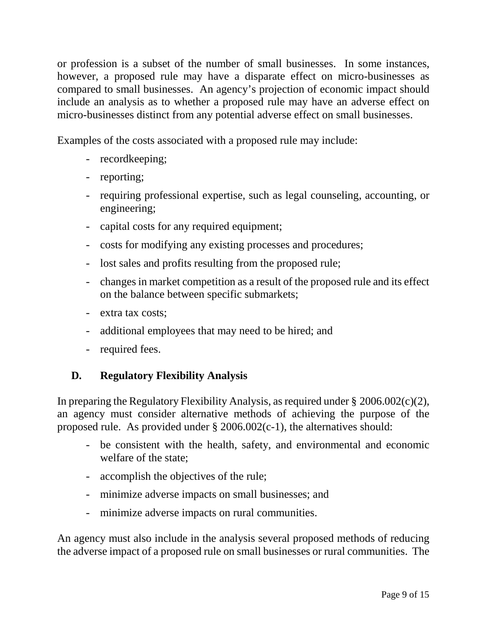or profession is a subset of the number of small businesses. In some instances, however, a proposed rule may have a disparate effect on micro-businesses as compared to small businesses. An agency's projection of economic impact should include an analysis as to whether a proposed rule may have an adverse effect on micro-businesses distinct from any potential adverse effect on small businesses.

Examples of the costs associated with a proposed rule may include:

- recordkeeping;
- reporting;
- requiring professional expertise, such as legal counseling, accounting, or engineering;
- capital costs for any required equipment;
- costs for modifying any existing processes and procedures;
- lost sales and profits resulting from the proposed rule;
- changes in market competition as a result of the proposed rule and its effect on the balance between specific submarkets;
- extra tax costs;
- additional employees that may need to be hired; and
- required fees.

### **D. Regulatory Flexibility Analysis**

In preparing the Regulatory Flexibility Analysis, as required under § 2006.002(c)(2), an agency must consider alternative methods of achieving the purpose of the proposed rule. As provided under § 2006.002(c-1), the alternatives should:

- be consistent with the health, safety, and environmental and economic welfare of the state;
- accomplish the objectives of the rule;
- minimize adverse impacts on small businesses; and
- minimize adverse impacts on rural communities.

An agency must also include in the analysis several proposed methods of reducing the adverse impact of a proposed rule on small businesses or rural communities. The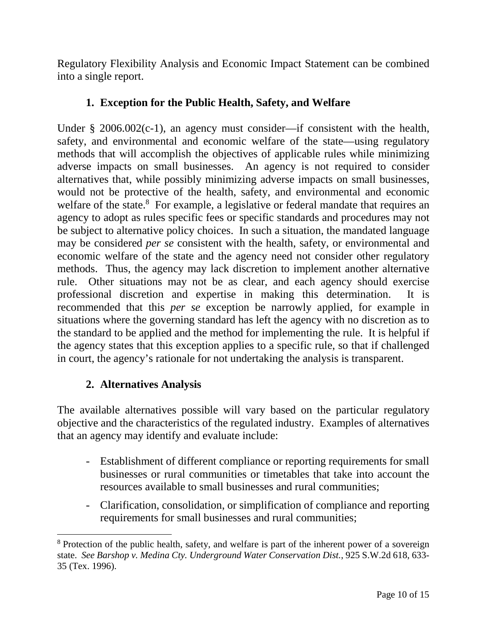Regulatory Flexibility Analysis and Economic Impact Statement can be combined into a single report.

### **1. Exception for the Public Health, Safety, and Welfare**

Under § 2006.002(c-1), an agency must consider—if consistent with the health, safety, and environmental and economic welfare of the state—using regulatory methods that will accomplish the objectives of applicable rules while minimizing adverse impacts on small businesses. An agency is not required to consider alternatives that, while possibly minimizing adverse impacts on small businesses, would not be protective of the health, safety, and environmental and economic welfare of the state.<sup>8</sup> For example, a legislative or federal mandate that requires an agency to adopt as rules specific fees or specific standards and procedures may not be subject to alternative policy choices. In such a situation, the mandated language may be considered *per se* consistent with the health, safety, or environmental and economic welfare of the state and the agency need not consider other regulatory methods. Thus, the agency may lack discretion to implement another alternative rule. Other situations may not be as clear, and each agency should exercise professional discretion and expertise in making this determination. It is recommended that this *per se* exception be narrowly applied, for example in situations where the governing standard has left the agency with no discretion as to the standard to be applied and the method for implementing the rule. It is helpful if the agency states that this exception applies to a specific rule, so that if challenged in court, the agency's rationale for not undertaking the analysis is transparent.

### **2. Alternatives Analysis**

<u>.</u>

The available alternatives possible will vary based on the particular regulatory objective and the characteristics of the regulated industry. Examples of alternatives that an agency may identify and evaluate include:

- Establishment of different compliance or reporting requirements for small businesses or rural communities or timetables that take into account the resources available to small businesses and rural communities;
- Clarification, consolidation, or simplification of compliance and reporting requirements for small businesses and rural communities;

<sup>&</sup>lt;sup>8</sup> Protection of the public health, safety, and welfare is part of the inherent power of a sovereign state. *See Barshop v. Medina Cty. Underground Water Conservation Dist.*, 925 S.W.2d 618, 633- 35 (Tex. 1996).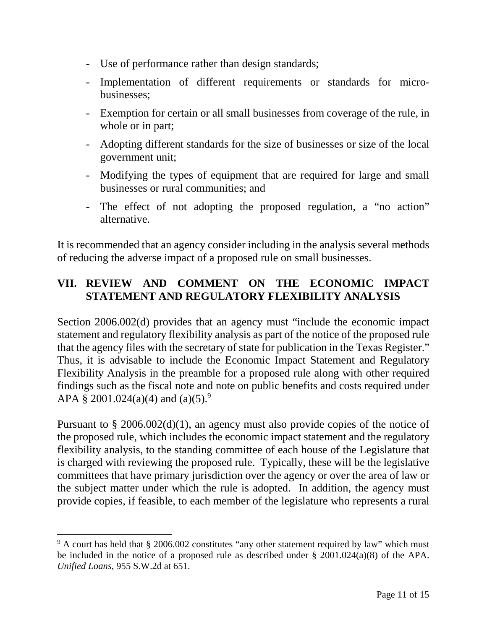- Use of performance rather than design standards;
- Implementation of different requirements or standards for microbusinesses;
- Exemption for certain or all small businesses from coverage of the rule, in whole or in part;
- Adopting different standards for the size of businesses or size of the local government unit;
- Modifying the types of equipment that are required for large and small businesses or rural communities; and
- The effect of not adopting the proposed regulation, a "no action" alternative.

It is recommended that an agency consider including in the analysis several methods of reducing the adverse impact of a proposed rule on small businesses.

### **VII. REVIEW AND COMMENT ON THE ECONOMIC IMPACT STATEMENT AND REGULATORY FLEXIBILITY ANALYSIS**

Section 2006.002(d) provides that an agency must "include the economic impact statement and regulatory flexibility analysis as part of the notice of the proposed rule that the agency files with the secretary of state for publication in the Texas Register." Thus, it is advisable to include the Economic Impact Statement and Regulatory Flexibility Analysis in the preamble for a proposed rule along with other required findings such as the fiscal note and note on public benefits and costs required under APA § 2001.024(a)(4) and (a)(5).<sup>9</sup>

Pursuant to § 2006.002(d)(1), an agency must also provide copies of the notice of the proposed rule, which includes the economic impact statement and the regulatory flexibility analysis, to the standing committee of each house of the Legislature that is charged with reviewing the proposed rule. Typically, these will be the legislative committees that have primary jurisdiction over the agency or over the area of law or the subject matter under which the rule is adopted. In addition, the agency must provide copies, if feasible, to each member of the legislature who represents a rural

<u>.</u>

<sup>&</sup>lt;sup>9</sup> A court has held that § 2006.002 constitutes "any other statement required by law" which must be included in the notice of a proposed rule as described under § 2001.024(a)(8) of the APA. *Unified Loans*, 955 S.W.2d at 651.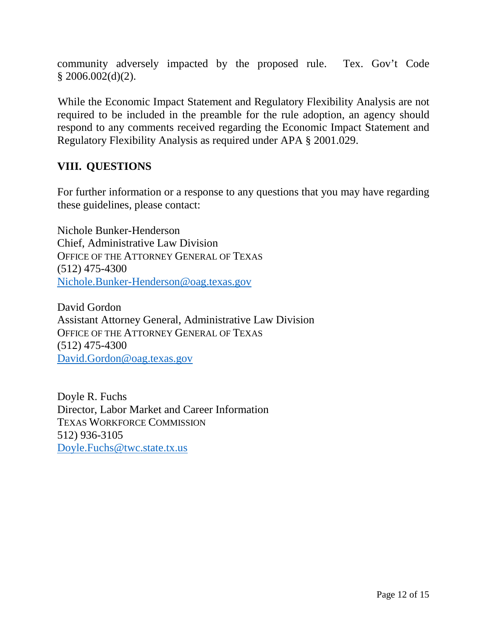community adversely impacted by the proposed rule. Tex. Gov't Code  $$2006.002(d)(2)$ .

While the Economic Impact Statement and Regulatory Flexibility Analysis are not required to be included in the preamble for the rule adoption, an agency should respond to any comments received regarding the Economic Impact Statement and Regulatory Flexibility Analysis as required under APA § 2001.029.

### **VIII. QUESTIONS**

For further information or a response to any questions that you may have regarding these guidelines, please contact:

Nichole Bunker-Henderson Chief, Administrative Law Division OFFICE OF THE ATTORNEY GENERAL OF TEXAS (512) 475-4300 Nichole.Bunker-Henderson@oag.texas.gov

David Gordon Assistant Attorney General, Administrative Law Division OFFICE OF THE ATTORNEY GENERAL OF TEXAS (512) 475-4300 David.Gordon@oag.texas.gov

Doyle R. Fuchs Director, Labor Market and Career Information TEXAS WORKFORCE COMMISSION 512) 936-3105 Doyle.Fuchs@twc.state.tx.us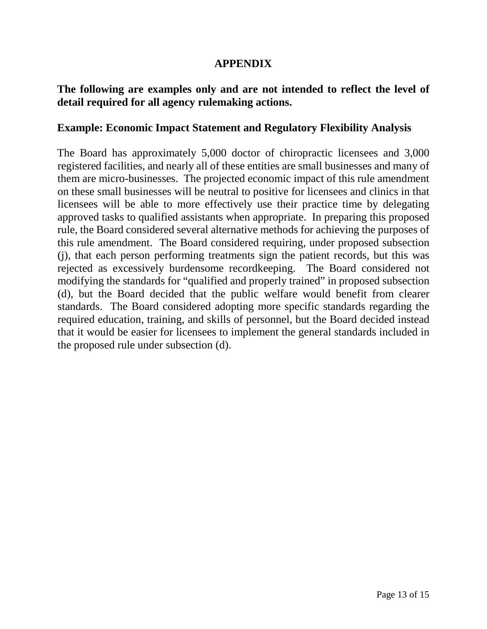#### **APPENDIX**

#### **The following are examples only and are not intended to reflect the level of detail required for all agency rulemaking actions.**

#### **Example: Economic Impact Statement and Regulatory Flexibility Analysis**

The Board has approximately 5,000 doctor of chiropractic licensees and 3,000 registered facilities, and nearly all of these entities are small businesses and many of them are micro-businesses. The projected economic impact of this rule amendment on these small businesses will be neutral to positive for licensees and clinics in that licensees will be able to more effectively use their practice time by delegating approved tasks to qualified assistants when appropriate. In preparing this proposed rule, the Board considered several alternative methods for achieving the purposes of this rule amendment. The Board considered requiring, under proposed subsection (j), that each person performing treatments sign the patient records, but this was rejected as excessively burdensome recordkeeping. The Board considered not modifying the standards for "qualified and properly trained" in proposed subsection (d), but the Board decided that the public welfare would benefit from clearer standards. The Board considered adopting more specific standards regarding the required education, training, and skills of personnel, but the Board decided instead that it would be easier for licensees to implement the general standards included in the proposed rule under subsection (d).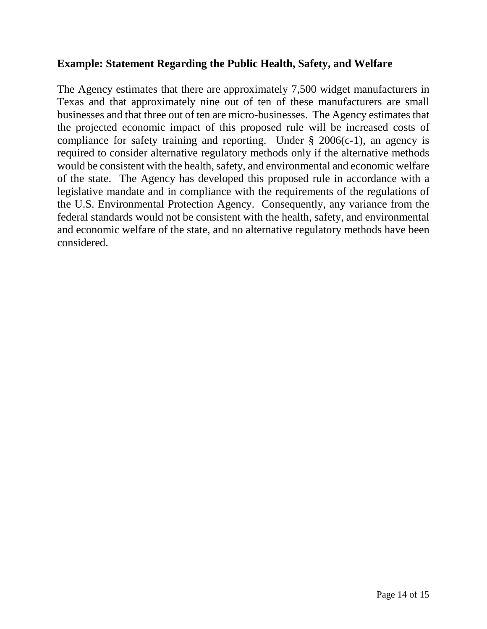#### **Example: Statement Regarding the Public Health, Safety, and Welfare**

The Agency estimates that there are approximately 7,500 widget manufacturers in Texas and that approximately nine out of ten of these manufacturers are small businesses and that three out of ten are micro-businesses. The Agency estimates that the projected economic impact of this proposed rule will be increased costs of compliance for safety training and reporting. Under  $\S$  2006(c-1), an agency is required to consider alternative regulatory methods only if the alternative methods would be consistent with the health, safety, and environmental and economic welfare of the state. The Agency has developed this proposed rule in accordance with a legislative mandate and in compliance with the requirements of the regulations of the U.S. Environmental Protection Agency. Consequently, any variance from the federal standards would not be consistent with the health, safety, and environmental and economic welfare of the state, and no alternative regulatory methods have been considered.